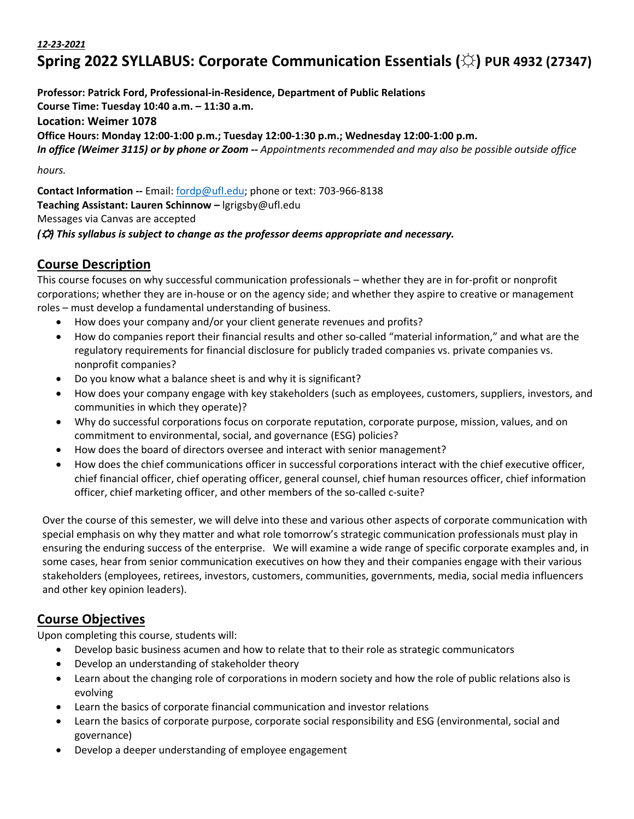#### *12-23-2021*

# **Spring 2022 SYLLABUS: Corporate Communication Essentials (☼) PUR 4932 (27347)**

**Professor: Patrick Ford, Professional-in-Residence, Department of Public Relations Course Time: Tuesday 10:40 a.m. – 11:30 a.m. Location: Weimer 1078 Office Hours: Monday 12:00-1:00 p.m.; Tuesday 12:00-1:30 p.m.; Wednesday 12:00-1:00 p.m.** *In office (Weimer 3115) or by phone or Zoom -- Appointments recommended and may also be possible outside office hours.*

**Contact Information --** Email: fordp@ufl.edu; phone or text: 703-966-8138 **Teaching Assistant: Lauren Schinnow –** lgrigsby@ufl.edu Messages via Canvas are accepted *(*☼*) This syllabus is subject to change as the professor deems appropriate and necessary.*

#### **Course Description**

This course focuses on why successful communication professionals – whether they are in for-profit or nonprofit corporations; whether they are in-house or on the agency side; and whether they aspire to creative or management roles – must develop a fundamental understanding of business.

- How does your company and/or your client generate revenues and profits?
- How do companies report their financial results and other so-called "material information," and what are the regulatory requirements for financial disclosure for publicly traded companies vs. private companies vs. nonprofit companies?
- Do you know what a balance sheet is and why it is significant?
- How does your company engage with key stakeholders (such as employees, customers, suppliers, investors, and communities in which they operate)?
- Why do successful corporations focus on corporate reputation, corporate purpose, mission, values, and on commitment to environmental, social, and governance (ESG) policies?
- How does the board of directors oversee and interact with senior management?
- How does the chief communications officer in successful corporations interact with the chief executive officer, chief financial officer, chief operating officer, general counsel, chief human resources officer, chief information officer, chief marketing officer, and other members of the so-called c-suite?

Over the course of this semester, we will delve into these and various other aspects of corporate communication with special emphasis on why they matter and what role tomorrow's strategic communication professionals must play in ensuring the enduring success of the enterprise. We will examine a wide range of specific corporate examples and, in some cases, hear from senior communication executives on how they and their companies engage with their various stakeholders (employees, retirees, investors, customers, communities, governments, media, social media influencers and other key opinion leaders).

## **Course Objectives**

Upon completing this course, students will:

- Develop basic business acumen and how to relate that to their role as strategic communicators
- Develop an understanding of stakeholder theory
- Learn about the changing role of corporations in modern society and how the role of public relations also is evolving
- Learn the basics of corporate financial communication and investor relations
- Learn the basics of corporate purpose, corporate social responsibility and ESG (environmental, social and governance)
- Develop a deeper understanding of employee engagement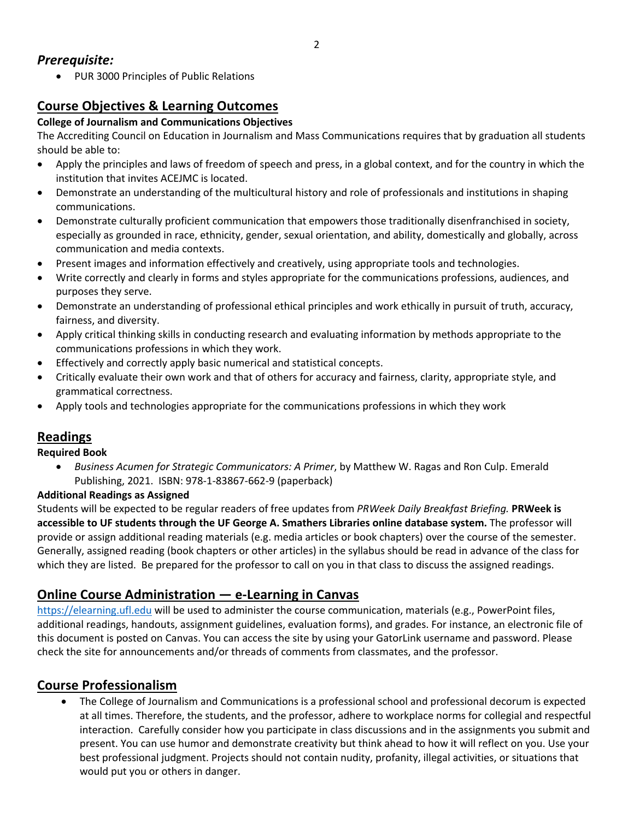• PUR 3000 Principles of Public Relations

## **Course Objectives & Learning Outcomes**

#### **College of Journalism and Communications Objectives**

The Accrediting Council on Education in Journalism and Mass Communications requires that by graduation all students should be able to:

- Apply the principles and laws of freedom of speech and press, in a global context, and for the country in which the institution that invites ACEJMC is located.
- Demonstrate an understanding of the multicultural history and role of professionals and institutions in shaping communications.
- Demonstrate culturally proficient communication that empowers those traditionally disenfranchised in society, especially as grounded in race, ethnicity, gender, sexual orientation, and ability, domestically and globally, across communication and media contexts.
- Present images and information effectively and creatively, using appropriate tools and technologies.
- Write correctly and clearly in forms and styles appropriate for the communications professions, audiences, and purposes they serve.
- Demonstrate an understanding of professional ethical principles and work ethically in pursuit of truth, accuracy, fairness, and diversity.
- Apply critical thinking skills in conducting research and evaluating information by methods appropriate to the communications professions in which they work.
- Effectively and correctly apply basic numerical and statistical concepts.
- Critically evaluate their own work and that of others for accuracy and fairness, clarity, appropriate style, and grammatical correctness.
- Apply tools and technologies appropriate for the communications professions in which they work

## **Readings**

#### **Required Book**

• *Business Acumen for Strategic Communicators: A Primer*, by Matthew W. Ragas and Ron Culp. Emerald Publishing, 2021. ISBN: 978-1-83867-662-9 (paperback)

#### **Additional Readings as Assigned**

Students will be expected to be regular readers of free updates from *PRWeek Daily Breakfast Briefing.* **PRWeek is accessible to UF students through the UF George A. Smathers Libraries online database system.** The professor will provide or assign additional reading materials (e.g. media articles or book chapters) over the course of the semester. Generally, assigned reading (book chapters or other articles) in the syllabus should be read in advance of the class for which they are listed. Be prepared for the professor to call on you in that class to discuss the assigned readings.

## **Online Course Administration — e-Learning in Canvas**

https://elearning.ufl.edu will be used to administer the course communication, materials (e.g., PowerPoint files, additional readings, handouts, assignment guidelines, evaluation forms), and grades. For instance, an electronic file of this document is posted on Canvas. You can access the site by using your GatorLink username and password. Please check the site for announcements and/or threads of comments from classmates, and the professor.

## **Course Professionalism**

• The College of Journalism and Communications is a professional school and professional decorum is expected at all times. Therefore, the students, and the professor, adhere to workplace norms for collegial and respectful interaction. Carefully consider how you participate in class discussions and in the assignments you submit and present. You can use humor and demonstrate creativity but think ahead to how it will reflect on you. Use your best professional judgment. Projects should not contain nudity, profanity, illegal activities, or situations that would put you or others in danger.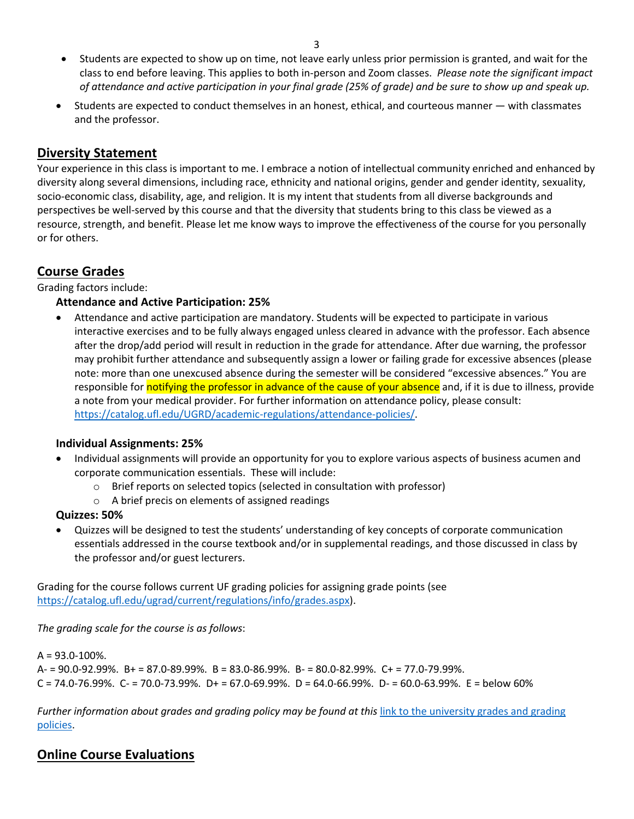- Students are expected to show up on time, not leave early unless prior permission is granted, and wait for the class to end before leaving. This applies to both in-person and Zoom classes. *Please note the significant impact of attendance and active participation in your final grade (25% of grade) and be sure to show up and speak up.*
- Students are expected to conduct themselves in an honest, ethical, and courteous manner with classmates and the professor.

## **Diversity Statement**

Your experience in this class is important to me. I embrace a notion of intellectual community enriched and enhanced by diversity along several dimensions, including race, ethnicity and national origins, gender and gender identity, sexuality, socio-economic class, disability, age, and religion. It is my intent that students from all diverse backgrounds and perspectives be well-served by this course and that the diversity that students bring to this class be viewed as a resource, strength, and benefit. Please let me know ways to improve the effectiveness of the course for you personally or for others.

## **Course Grades**

Grading factors include:

#### **Attendance and Active Participation: 25%**

• Attendance and active participation are mandatory. Students will be expected to participate in various interactive exercises and to be fully always engaged unless cleared in advance with the professor. Each absence after the drop/add period will result in reduction in the grade for attendance. After due warning, the professor may prohibit further attendance and subsequently assign a lower or failing grade for excessive absences (please note: more than one unexcused absence during the semester will be considered "excessive absences." You are responsible for notifying the professor in advance of the cause of your absence and, if it is due to illness, provide a note from your medical provider. For further information on attendance policy, please consult: https://catalog.ufl.edu/UGRD/academic-regulations/attendance-policies/.

#### **Individual Assignments: 25%**

- Individual assignments will provide an opportunity for you to explore various aspects of business acumen and corporate communication essentials. These will include:
	- o Brief reports on selected topics (selected in consultation with professor)
	- o A brief precis on elements of assigned readings

#### **Quizzes: 50%**

• Quizzes will be designed to test the students' understanding of key concepts of corporate communication essentials addressed in the course textbook and/or in supplemental readings, and those discussed in class by the professor and/or guest lecturers.

Grading for the course follows current UF grading policies for assigning grade points (see https://catalog.ufl.edu/ugrad/current/regulations/info/grades.aspx).

*The grading scale for the course is as follows*:

 $A = 93.0 - 100\%$ .  $A = 90.0 - 92.99\%$ .  $B = 87.0 - 89.99\%$ .  $B = 83.0 - 86.99\%$ .  $B = 80.0 - 82.99\%$ .  $C + = 77.0 - 79.99\%$ .  $C = 74.0 - 76.99\%$ .  $C = 70.0 - 73.99\%$ .  $D = 67.0 - 69.99\%$ .  $D = 64.0 - 66.99\%$ .  $D = 60.0 - 63.99\%$ .  $E =$  below 60%

*Further information about grades and grading policy may be found at this* link to the university grades and grading policies.

## **Online Course Evaluations**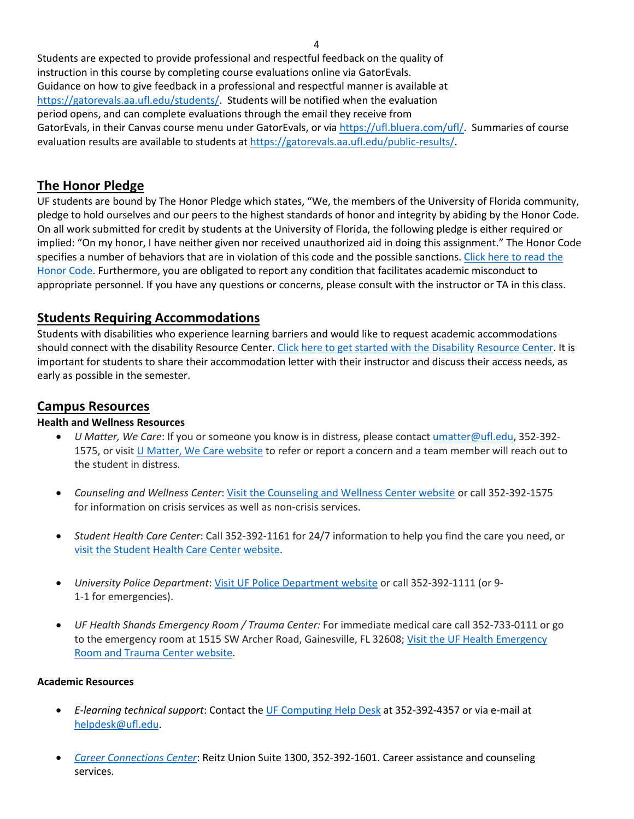Students are expected to provide professional and respectful feedback on the quality of instruction in this course by completing course evaluations online via GatorEvals. Guidance on how to give feedback in a professional and respectful manner is available at https://gatorevals.aa.ufl.edu/students/. Students will be notified when the evaluation period opens, and can complete evaluations through the email they receive from GatorEvals, in their Canvas course menu under GatorEvals, or via https://ufl.bluera.com/ufl/. Summaries of course evaluation results are available to students at https://gatorevals.aa.ufl.edu/public-results/

#### **The Honor Pledge**

UF students are bound by The Honor Pledge which states, "We, the members of the University of Florida community, pledge to hold ourselves and our peers to the highest standards of honor and integrity by abiding by the Honor Code. On all work submitted for credit by students at the University of Florida, the following pledge is either required or implied: "On my honor, I have neither given nor received unauthorized aid in doing this assignment." The Honor Code specifies a number of behaviors that are in violation of this code and the possible sanctions. Click here to read the Honor Code. Furthermore, you are obligated to report any condition that facilitates academic misconduct to appropriate personnel. If you have any questions or concerns, please consult with the instructor or TA in this class.

#### **Students Requiring Accommodations**

Students with disabilities who experience learning barriers and would like to request academic accommodations should connect with the disability Resource Center. Click here to get started with the Disability Resource Center. It is important for students to share their accommodation letter with their instructor and discuss their access needs, as early as possible in the semester.

#### **Campus Resources**

#### **Health and Wellness Resources**

- *U Matter, We Care*: If you or someone you know is in distress, please contact umatter@ufl.edu, 352-392- 1575, or visit U Matter, We Care website to refer or report a concern and a team member will reach out to the student in distress.
- *Counseling and Wellness Center*: Visit the Counseling and Wellness Center website or call 352-392-1575 for information on crisis services as well as non-crisis services.
- *Student Health Care Center*: Call 352-392-1161 for 24/7 information to help you find the care you need, or visit the Student Health Care Center website.
- *University Police Department*: Visit UF Police Department website or call 352-392-1111 (or 9- 1-1 for emergencies).
- *UF Health Shands Emergency Room / Trauma Center:* For immediate medical care call 352-733-0111 or go to the emergency room at 1515 SW Archer Road, Gainesville, FL 32608; Visit the UF Health Emergency Room and Trauma Center website.

#### **Academic Resources**

- *E-learning technical support*: Contact the UF Computing Help Desk at 352-392-4357 or via e-mail at helpdesk@ufl.edu.
- *Career Connections Center*: Reitz Union Suite 1300, 352-392-1601. Career assistance and counseling services.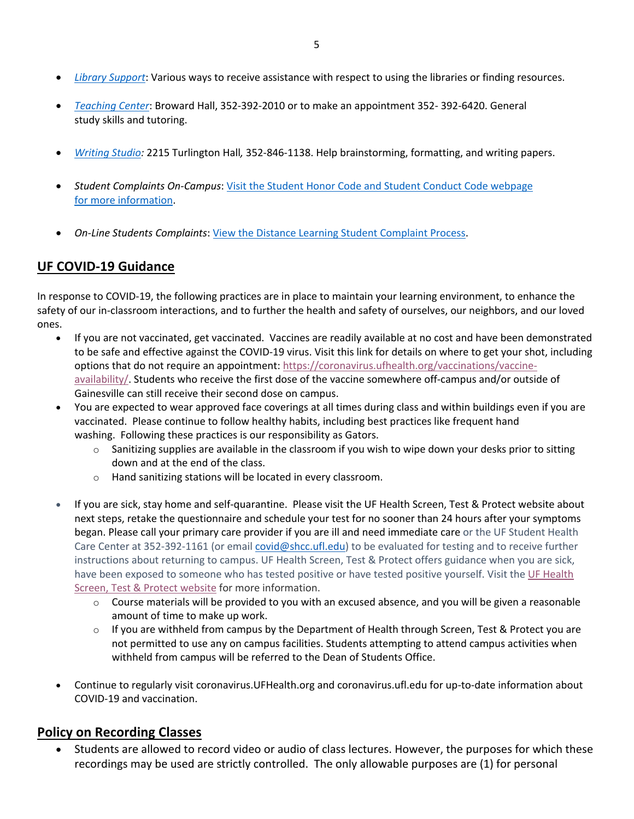- *Library Support*: Various ways to receive assistance with respect to using the libraries or finding resources.
- *Teaching Center*: Broward Hall, 352-392-2010 or to make an appointment 352- 392-6420. General study skills and tutoring.
- *Writing Studio:* 2215 Turlington Hall*,* 352-846-1138. Help brainstorming, formatting, and writing papers.
- *Student Complaints On-Campus*: Visit the Student Honor Code and Student Conduct Code webpage for more information.
- *On-Line Students Complaints*: View the Distance Learning Student Complaint Process.

## **UF COVID-19 Guidance**

In response to COVID-19, the following practices are in place to maintain your learning environment, to enhance the safety of our in-classroom interactions, and to further the health and safety of ourselves, our neighbors, and our loved ones.

- If you are not vaccinated, get vaccinated. Vaccines are readily available at no cost and have been demonstrated to be safe and effective against the COVID-19 virus. Visit this link for details on where to get your shot, including options that do not require an appointment: https://coronavirus.ufhealth.org/vaccinations/vaccineavailability/. Students who receive the first dose of the vaccine somewhere off-campus and/or outside of Gainesville can still receive their second dose on campus.
- You are expected to wear approved face coverings at all times during class and within buildings even if you are vaccinated. Please continue to follow healthy habits, including best practices like frequent hand washing. Following these practices is our responsibility as Gators.
	- $\circ$  Sanitizing supplies are available in the classroom if you wish to wipe down your desks prior to sitting down and at the end of the class.
	- o Hand sanitizing stations will be located in every classroom.
- If you are sick, stay home and self-quarantine. Please visit the UF Health Screen, Test & Protect website about next steps, retake the questionnaire and schedule your test for no sooner than 24 hours after your symptoms began. Please call your primary care provider if you are ill and need immediate care or the UF Student Health Care Center at 352-392-1161 (or email covid@shcc.ufl.edu) to be evaluated for testing and to receive further instructions about returning to campus. UF Health Screen, Test & Protect offers guidance when you are sick, have been exposed to someone who has tested positive or have tested positive yourself. Visit the UF Health Screen, Test & Protect website for more information.
	- o Course materials will be provided to you with an excused absence, and you will be given a reasonable amount of time to make up work.
	- $\circ$  If you are withheld from campus by the Department of Health through Screen, Test & Protect you are not permitted to use any on campus facilities. Students attempting to attend campus activities when withheld from campus will be referred to the Dean of Students Office.
- Continue to regularly visit coronavirus.UFHealth.org and coronavirus.ufl.edu for up-to-date information about COVID-19 and vaccination.

#### **Policy on Recording Classes**

• Students are allowed to record video or audio of class lectures. However, the purposes for which these recordings may be used are strictly controlled. The only allowable purposes are (1) for personal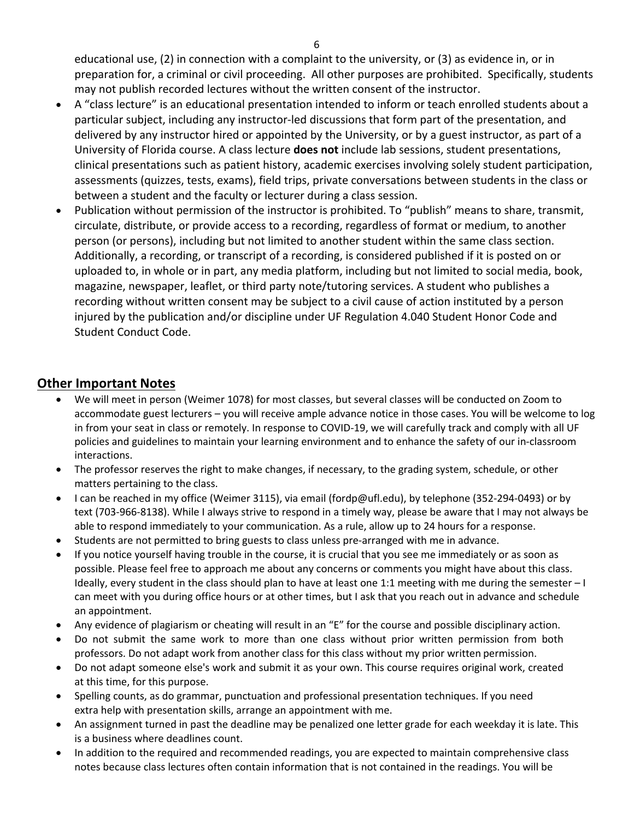educational use, (2) in connection with a complaint to the university, or (3) as evidence in, or in preparation for, a criminal or civil proceeding. All other purposes are prohibited. Specifically, students may not publish recorded lectures without the written consent of the instructor.

- A "class lecture" is an educational presentation intended to inform or teach enrolled students about a particular subject, including any instructor-led discussions that form part of the presentation, and delivered by any instructor hired or appointed by the University, or by a guest instructor, as part of a University of Florida course. A class lecture **does not** include lab sessions, student presentations, clinical presentations such as patient history, academic exercises involving solely student participation, assessments (quizzes, tests, exams), field trips, private conversations between students in the class or between a student and the faculty or lecturer during a class session.
- Publication without permission of the instructor is prohibited. To "publish" means to share, transmit, circulate, distribute, or provide access to a recording, regardless of format or medium, to another person (or persons), including but not limited to another student within the same class section. Additionally, a recording, or transcript of a recording, is considered published if it is posted on or uploaded to, in whole or in part, any media platform, including but not limited to social media, book, magazine, newspaper, leaflet, or third party note/tutoring services. A student who publishes a recording without written consent may be subject to a civil cause of action instituted by a person injured by the publication and/or discipline under UF Regulation 4.040 Student Honor Code and Student Conduct Code.

#### **Other Important Notes**

- We will meet in person (Weimer 1078) for most classes, but several classes will be conducted on Zoom to accommodate guest lecturers – you will receive ample advance notice in those cases. You will be welcome to log in from your seat in class or remotely. In response to COVID-19, we will carefully track and comply with all UF policies and guidelines to maintain your learning environment and to enhance the safety of our in-classroom interactions.
- The professor reserves the right to make changes, if necessary, to the grading system, schedule, or other matters pertaining to the class.
- I can be reached in my office (Weimer 3115), via email (fordp@ufl.edu), by telephone (352-294-0493) or by text (703-966-8138). While I always strive to respond in a timely way, please be aware that I may not always be able to respond immediately to your communication. As a rule, allow up to 24 hours for a response.
- Students are not permitted to bring guests to class unless pre-arranged with me in advance.
- If you notice yourself having trouble in the course, it is crucial that you see me immediately or as soon as possible. Please feel free to approach me about any concerns or comments you might have about this class. Ideally, every student in the class should plan to have at least one 1:1 meeting with me during the semester – I can meet with you during office hours or at other times, but I ask that you reach out in advance and schedule an appointment.
- Any evidence of plagiarism or cheating will result in an "E" for the course and possible disciplinary action.
- Do not submit the same work to more than one class without prior written permission from both professors. Do not adapt work from another class for this class without my prior written permission.
- Do not adapt someone else's work and submit it as your own. This course requires original work, created at this time, for this purpose.
- Spelling counts, as do grammar, punctuation and professional presentation techniques. If you need extra help with presentation skills, arrange an appointment with me.
- An assignment turned in past the deadline may be penalized one letter grade for each weekday it is late. This is a business where deadlines count.
- In addition to the required and recommended readings, you are expected to maintain comprehensive class notes because class lectures often contain information that is not contained in the readings. You will be

6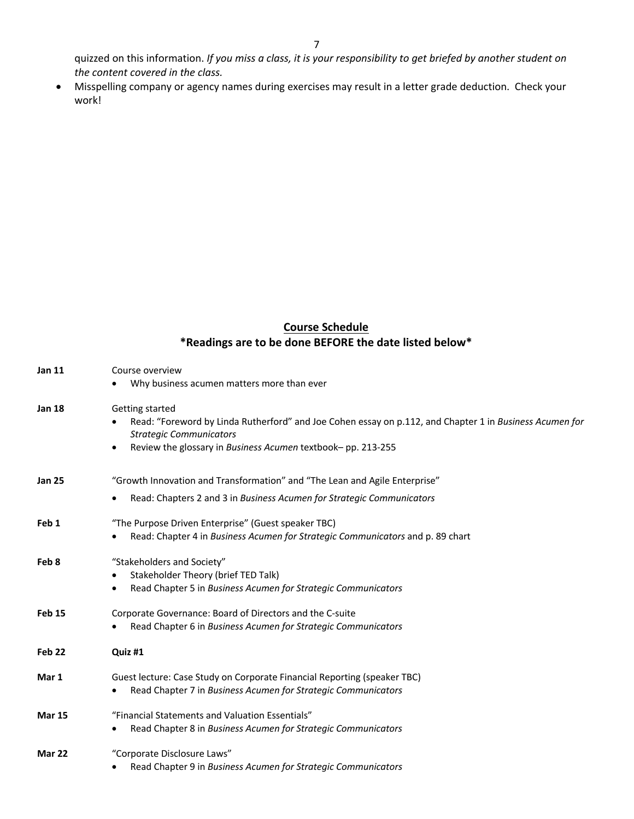quizzed on this information. *If you miss a class, it is your responsibility to get briefed by another student on the content covered in the class.*

• Misspelling company or agency names during exercises may result in a letter grade deduction. Check your work!

## **Course Schedule \*Readings are to be done BEFORE the date listed below\***

| <b>Jan 11</b>     | Course overview                                                                                                                           |
|-------------------|-------------------------------------------------------------------------------------------------------------------------------------------|
|                   | Why business acumen matters more than ever                                                                                                |
| <b>Jan 18</b>     | Getting started                                                                                                                           |
|                   | Read: "Foreword by Linda Rutherford" and Joe Cohen essay on p.112, and Chapter 1 in Business Acumen for<br><b>Strategic Communicators</b> |
|                   | Review the glossary in Business Acumen textbook-pp. 213-255<br>$\bullet$                                                                  |
| <b>Jan 25</b>     | "Growth Innovation and Transformation" and "The Lean and Agile Enterprise"                                                                |
|                   | Read: Chapters 2 and 3 in Business Acumen for Strategic Communicators<br>$\bullet$                                                        |
| Feb 1             | "The Purpose Driven Enterprise" (Guest speaker TBC)                                                                                       |
|                   | Read: Chapter 4 in Business Acumen for Strategic Communicators and p. 89 chart                                                            |
| Feb 8             | "Stakeholders and Society"                                                                                                                |
|                   | Stakeholder Theory (brief TED Talk)<br>$\bullet$                                                                                          |
|                   | Read Chapter 5 in Business Acumen for Strategic Communicators                                                                             |
| <b>Feb 15</b>     | Corporate Governance: Board of Directors and the C-suite                                                                                  |
|                   | Read Chapter 6 in Business Acumen for Strategic Communicators                                                                             |
| Feb <sub>22</sub> | Quiz #1                                                                                                                                   |
| Mar 1             | Guest lecture: Case Study on Corporate Financial Reporting (speaker TBC)                                                                  |
|                   | Read Chapter 7 in Business Acumen for Strategic Communicators                                                                             |
| <b>Mar 15</b>     | "Financial Statements and Valuation Essentials"                                                                                           |
|                   | Read Chapter 8 in Business Acumen for Strategic Communicators                                                                             |
| Mar 22            | "Corporate Disclosure Laws"                                                                                                               |
|                   | Read Chapter 9 in Business Acumen for Strategic Communicators<br>$\bullet$                                                                |